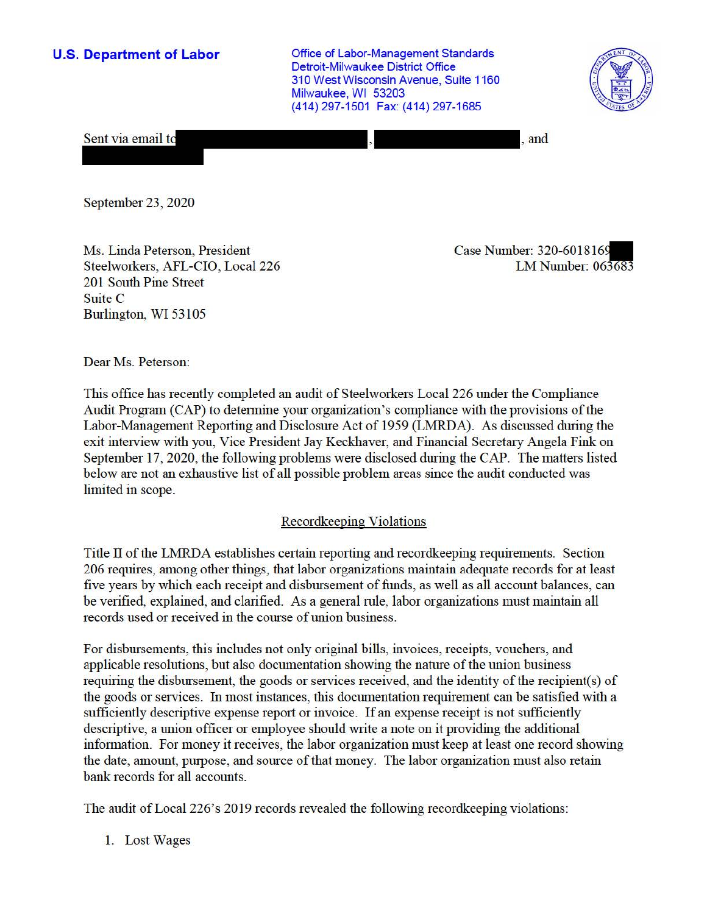**U.S. Department of Labor Conservative Conservative Conservative Conservative Conservative Conservative Conservative Conservative Conservative Conservative Conservative Conservative Conservative Conservative Conservative** Detroit-Milwaukee District Office 310 West Wisconsin Avenue, Suite 1160 Milwaukee, WI 53203 (414) 297-1501 Fax: (414) 297-1685



Sent via email to

, and

September 23, 2020

Ms. Linda Peterson, President Case Number: 320-6018169 Steelworkers, AFL-CIO, Local 226 LM Number: 063683 201 South Pine Street Suite C Burlington, WI 53105

Dear Ms. Peterson:

This office has recently completed an audit of Steelworkers Local 226 under the Compliance Audit Program (CAP) to determine your organization's compliance with the provisions of the Labor-Management Reporting and Disclosure Act of 1959 (LMRDA). As discussed during the exit interview with you, Vice President Jay Keckhaver, and Financial Secretary Angela Fink on September 17, 2020, the following problems were disclosed during the CAP. The matters listed below are not an exhaustive list of all possible problem areas since the audit conducted was limited in scope.

## Recordkeeping Violations

Title II of the LMRDA establishes certain reporting and recordkeeping requirements. Section 206 requires, among other things, that labor organizations maintain adequate records for at least five years by which each receipt and disbursement of funds, as well as all account balances, can be verified, explained, and clarified. As a general rule, labor organizations must maintain all records used or received in the course of union business.

For disbursements, this includes not only original bills, invoices, receipts, vouchers, and applicable resolutions, but also documentation showing the nature of the union business requiring the disbursement, the goods or services received, and the identity of the recipient(s) of the goods or services. In most instances, this documentation requirement can be satisfied with a sufficiently descriptive expense report or invoice. If an expense receipt is not sufficiently descriptive, a union officer or employee should write a note on it providing the additional infonnation. For money it receives, the labor organization must keep at least one record showing the date, amount, purpose, and source of that money. The labor organization must also retain bank records for all accounts.

The audit ofLocal 226's 2019 records revealed the following recordkeeping violations:

1. Lost Wages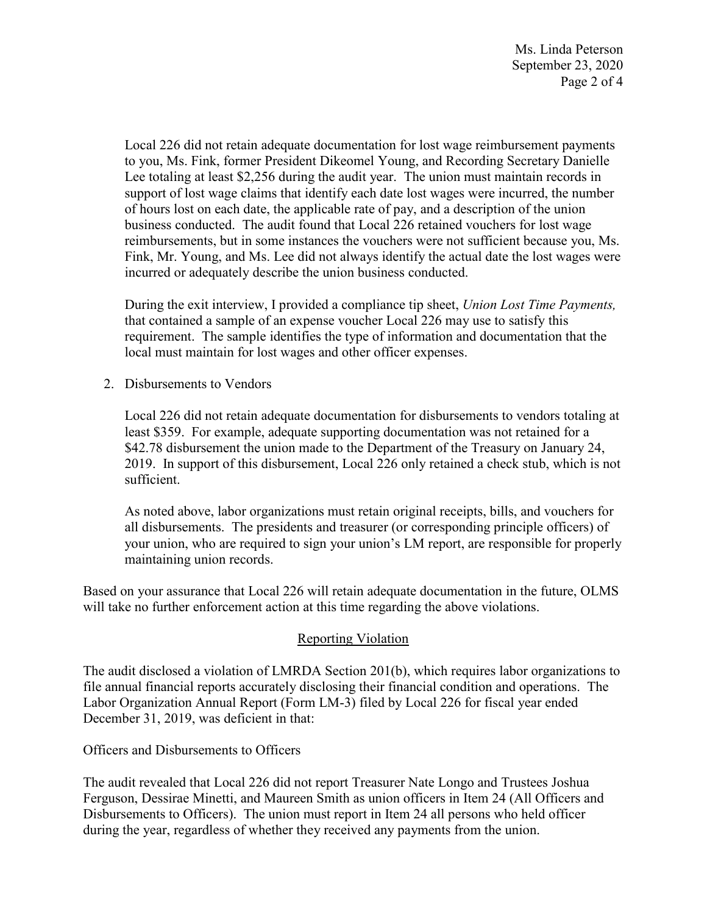Ms. Linda Peterson September 23, 2020 Page 2 of 4

 Lee totaling at least \$2,256 during the audit year. The union must maintain records in business conducted. The audit found that Local 226 retained vouchers for lost wage Local 226 did not retain adequate documentation for lost wage reimbursement payments to you, Ms. Fink, former President Dikeomel Young, and Recording Secretary Danielle support of lost wage claims that identify each date lost wages were incurred, the number of hours lost on each date, the applicable rate of pay, and a description of the union reimbursements, but in some instances the vouchers were not sufficient because you, Ms. Fink, Mr. Young, and Ms. Lee did not always identify the actual date the lost wages were incurred or adequately describe the union business conducted.

 that contained a sample of an expense voucher Local 226 may use to satisfy this During the exit interview, I provided a compliance tip sheet, *Union Lost Time Payments,*  requirement. The sample identifies the type of information and documentation that the local must maintain for lost wages and other officer expenses.

2. Disbursements to Vendors

Local 226 did not retain adequate documentation for disbursements to vendors totaling at least \$359. For example, adequate supporting documentation was not retained for a \$42.78 disbursement the union made to the Department of the Treasury on January 24, 2019. In support of this disbursement, Local 226 only retained a check stub, which is not sufficient.

As noted above, labor organizations must retain original receipts, bills, and vouchers for all disbursements. The presidents and treasurer (or corresponding principle officers) of your union, who are required to sign your union's LM report, are responsible for properly maintaining union records.

 Based on your assurance that Local 226 will retain adequate documentation in the future, OLMS will take no further enforcement action at this time regarding the above violations.

## Reporting Violation

 Labor Organization Annual Report (Form LM-3) filed by Local 226 for fiscal year ended The audit disclosed a violation of LMRDA Section 201(b), which requires labor organizations to file annual financial reports accurately disclosing their financial condition and operations. The December 31, 2019, was deficient in that:

Officers and Disbursements to Officers

The audit revealed that Local 226 did not report Treasurer Nate Longo and Trustees Joshua Ferguson, Dessirae Minetti, and Maureen Smith as union officers in Item 24 (All Officers and Disbursements to Officers). The union must report in Item 24 all persons who held officer during the year, regardless of whether they received any payments from the union.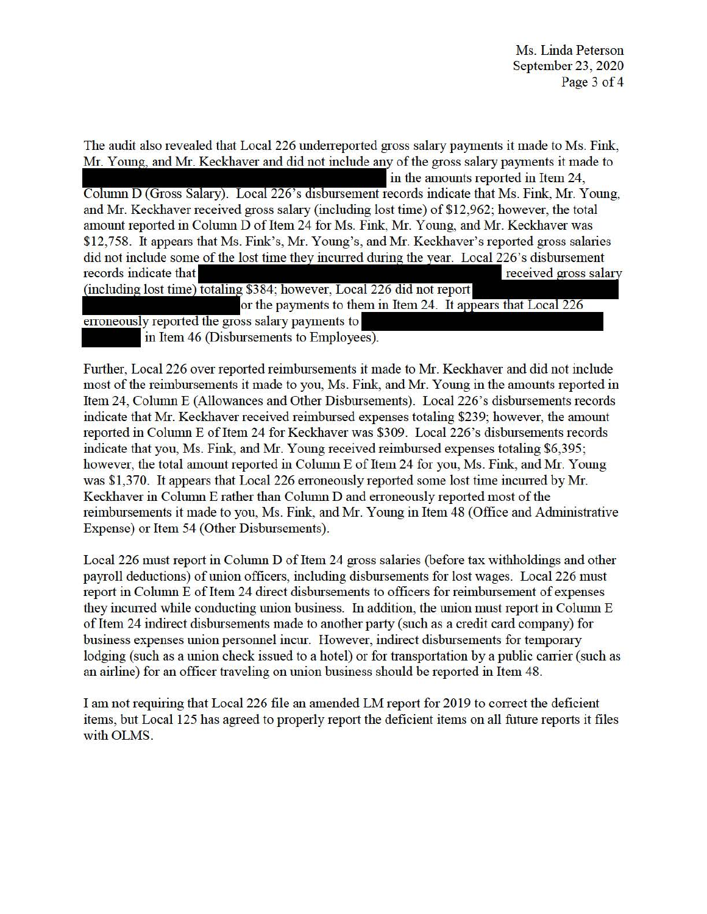The audit also revealed that Local 226 undeneported gross salary payments it made to Ms. Fink, Mr. Young, and Mr. Keckhaver and did not include any of the gross salary payments it made to in the amounts reported in Item 24, Column D (Gross Salary). Local 226's disbursement records indicate that Ms. Fink, Mr. Young, and Mr. Keckhaver received gross salary (including lost time) of \$12,962; however, the total amount reported in Column D of Item 24 for Ms. Fink, Mr. Young, and Mr. Keckhaver was \$12,758. It appears that Ms. Fink's, Mr. Young's, and Mr. Keckhaver's reported gross salaries did not include some of the lost time they incurred during the year. Local 226's disbursement records indicate that received gross salary (including lost time) totaling \$384; however, Local 226 did not report or the payments to them in Item 24. It appears that Local 226 erroneously reported the gross salary payments to

in Item 46 (Disbursements to Employees).

Further, Local 226 over reported reimbursements it made to Mr. Keckhaver and did not include most of the reimbursements it made to you, Ms. Fink, and Mr. Young in the amounts reported in Item 24, Column E (Allowances and Other Disbursements). Local 226's disbursements records indicate that Mr. Keckhaver received reimbursed expenses totaling \$239; however, the amount reported in Column E of Item 24 for Keckhaver was \$309. Local 226's disbursements records indicate that you, Ms. Fink, and Mr. Young received reimbursed expenses totaling \$6,395; however, the total amount reported in Column E of Item 24 for you, Ms. Fink, and Mr. Young was \$1,370. It appears that Local 226 erroneously reported some lost time incurred by Mr. Keckhaver in Column E rather than Column D and erroneously reported most of the reimbursements it made to you, Ms. Fink, and Mr. Young in Item 48 (Office and Administrative Expense) or Item 54 (Other Disbursements).

Local 226 must report in Column D of Item 24 gross salaries (before tax withholdings and other payroll deductions) of union officers, including disbursements for lost wages. Local 226 must report in Column E of Item 24 direct disbursements to officers for reimbursement of expenses they incurred while conducting union business. In addition, the union must report in Column E of Item 24 indirect disbursements made to another party (such as a credit card company) for business expenses union personnel incur. However, indirect disbursements for temporary lodging (such as a union check issued to a hotel) or for transportation by a public carrier (such as an airline) for an officer traveling on union business should be reported in Item 48.

I am not requiring that Local 226 file an amended LM report for 2019 to correct the deficient items, but Local 125 has agreed to properly report the deficient items on all future reports it files with OLMS.